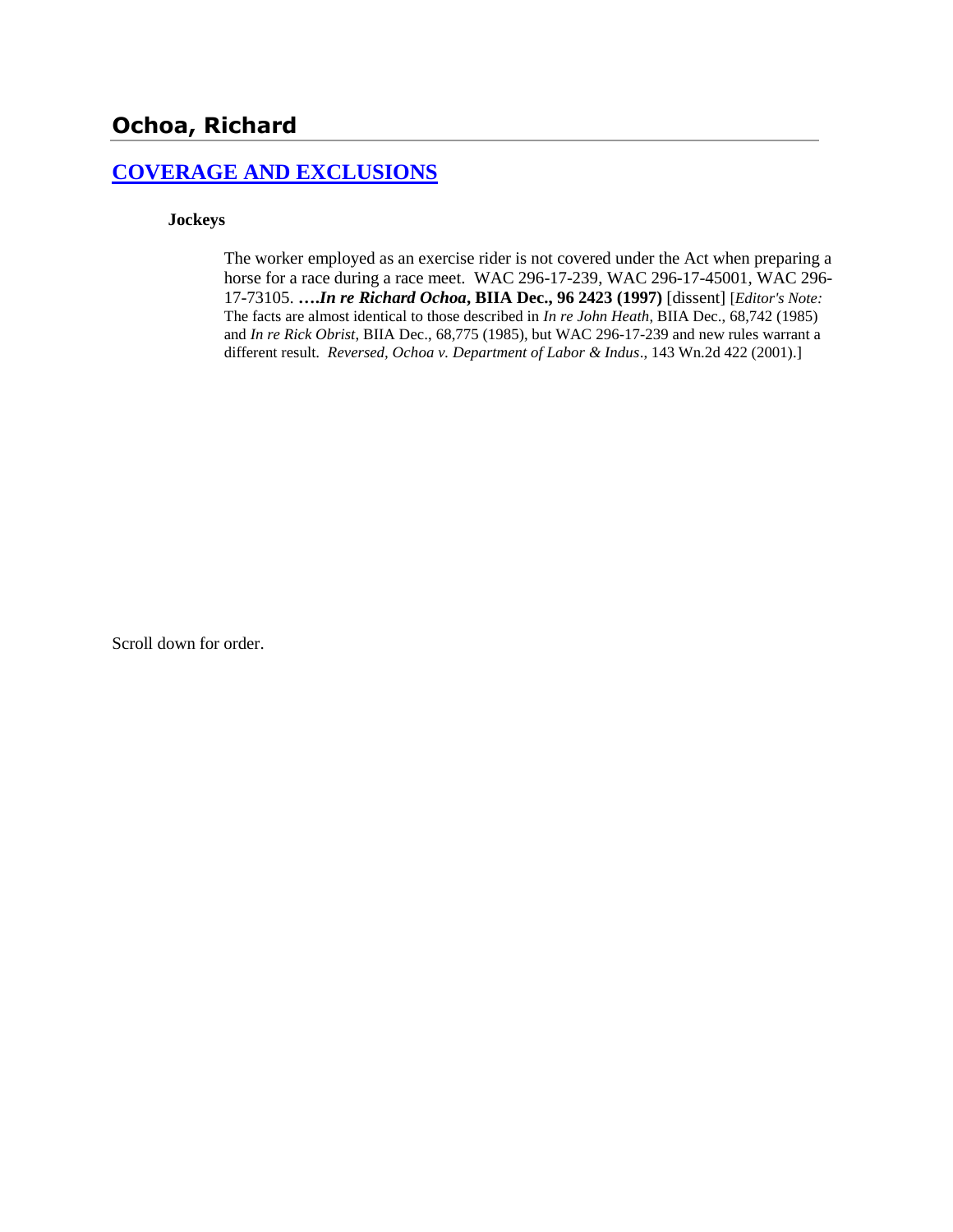# **[COVERAGE AND EXCLUSIONS](http://www.biia.wa.gov/SDSubjectIndex.html#COVERAGE_AND_EXCLUSIONS)**

#### **Jockeys**

The worker employed as an exercise rider is not covered under the Act when preparing a horse for a race during a race meet. WAC 296-17-239, WAC 296-17-45001, WAC 296- 17-73105. **….***In re Richard Ochoa***, BIIA Dec., 96 2423 (1997)** [dissent] [*Editor's Note:* The facts are almost identical to those described in *In re John Heath*, BIIA Dec., 68,742 (1985) and *In re Rick Obrist*, BIIA Dec., 68,775 (1985), but WAC 296-17-239 and new rules warrant a different result. *Reversed, Ochoa v. Department of Labor & Indus*., 143 Wn.2d 422 (2001).]

Scroll down for order.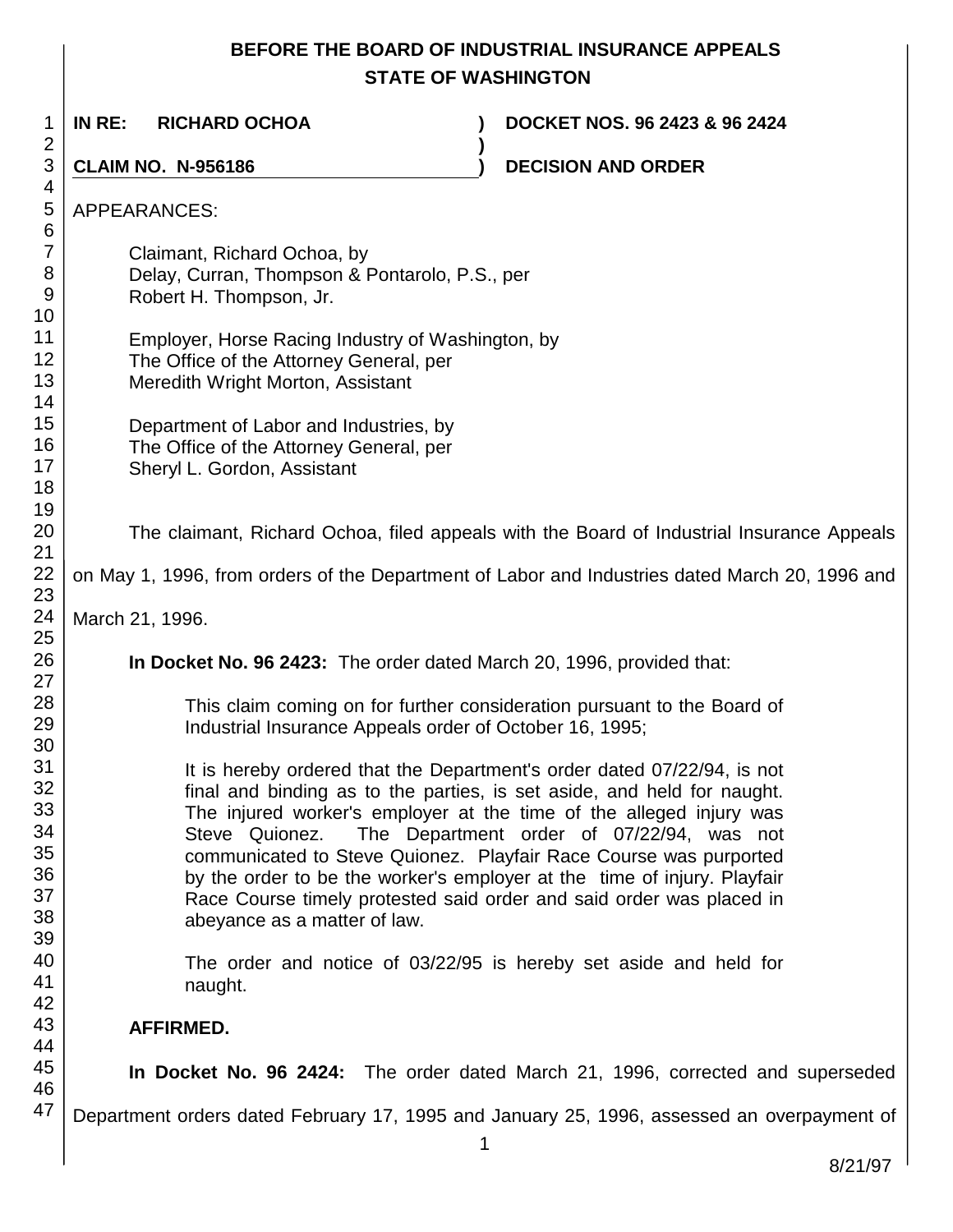# **BEFORE THE BOARD OF INDUSTRIAL INSURANCE APPEALS STATE OF WASHINGTON**

1 2 3 4 5 6 7 8 9 10 11 12 13 14 15 16 17 18 19 20 21 22 23 24 25 26 27 28 29 30 31 32 33 34 35 36 37 38 39 40 41 42 43 44 45 46 47 **IN RE: RICHARD OCHOA ) DOCKET NOS. 96 2423 & 96 2424 ) CLAIM NO. N-956186 ) DECISION AND ORDER**  APPEARANCES: Claimant, Richard Ochoa, by Delay, Curran, Thompson & Pontarolo, P.S., per Robert H. Thompson, Jr. Employer, Horse Racing Industry of Washington, by The Office of the Attorney General, per Meredith Wright Morton, Assistant Department of Labor and Industries, by The Office of the Attorney General, per Sheryl L. Gordon, Assistant The claimant, Richard Ochoa, filed appeals with the Board of Industrial Insurance Appeals on May 1, 1996, from orders of the Department of Labor and Industries dated March 20, 1996 and March 21, 1996. **In Docket No. 96 2423:** The order dated March 20, 1996, provided that: This claim coming on for further consideration pursuant to the Board of Industrial Insurance Appeals order of October 16, 1995; It is hereby ordered that the Department's order dated 07/22/94, is not final and binding as to the parties, is set aside, and held for naught. The injured worker's employer at the time of the alleged injury was Steve Quionez. The Department order of 07/22/94, was not communicated to Steve Quionez. Playfair Race Course was purported by the order to be the worker's employer at the time of injury. Playfair Race Course timely protested said order and said order was placed in abeyance as a matter of law. The order and notice of 03/22/95 is hereby set aside and held for naught. **AFFIRMED. In Docket No. 96 2424:** The order dated March 21, 1996, corrected and superseded Department orders dated February 17, 1995 and January 25, 1996, assessed an overpayment of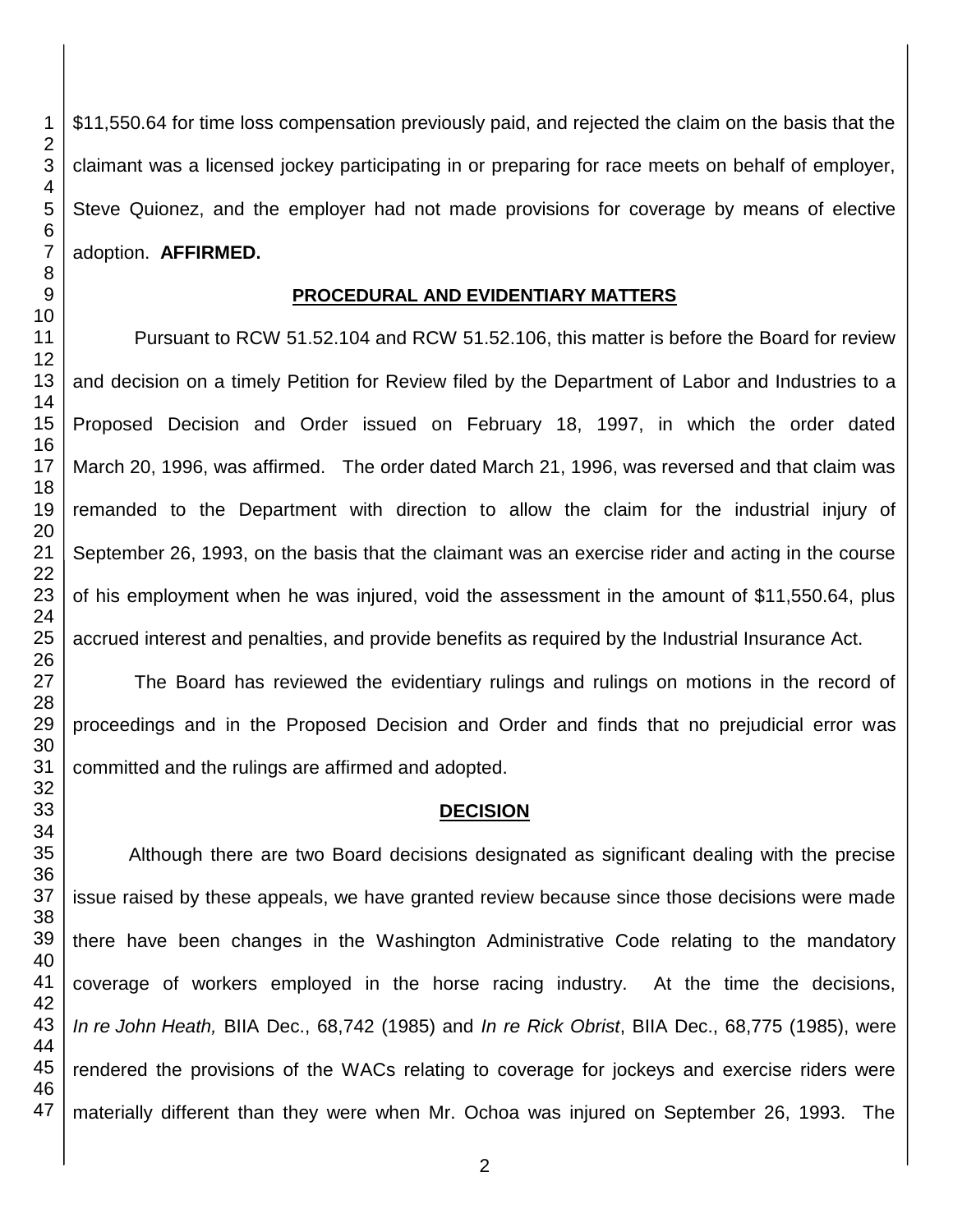\$11,550.64 for time loss compensation previously paid, and rejected the claim on the basis that the claimant was a licensed jockey participating in or preparing for race meets on behalf of employer, Steve Quionez, and the employer had not made provisions for coverage by means of elective adoption. **AFFIRMED.**

#### **PROCEDURAL AND EVIDENTIARY MATTERS**

Pursuant to RCW 51.52.104 and RCW 51.52.106, this matter is before the Board for review and decision on a timely Petition for Review filed by the Department of Labor and Industries to a Proposed Decision and Order issued on February 18, 1997, in which the order dated March 20, 1996, was affirmed. The order dated March 21, 1996, was reversed and that claim was remanded to the Department with direction to allow the claim for the industrial injury of September 26, 1993, on the basis that the claimant was an exercise rider and acting in the course of his employment when he was injured, void the assessment in the amount of \$11,550.64, plus accrued interest and penalties, and provide benefits as required by the Industrial Insurance Act.

The Board has reviewed the evidentiary rulings and rulings on motions in the record of proceedings and in the Proposed Decision and Order and finds that no prejudicial error was committed and the rulings are affirmed and adopted.

#### **DECISION**

Although there are two Board decisions designated as significant dealing with the precise issue raised by these appeals, we have granted review because since those decisions were made there have been changes in the Washington Administrative Code relating to the mandatory coverage of workers employed in the horse racing industry. At the time the decisions, *In re John Heath,* BIIA Dec., 68,742 (1985) and *In re Rick Obrist*, BIIA Dec., 68,775 (1985), were rendered the provisions of the WACs relating to coverage for jockeys and exercise riders were materially different than they were when Mr. Ochoa was injured on September 26, 1993. The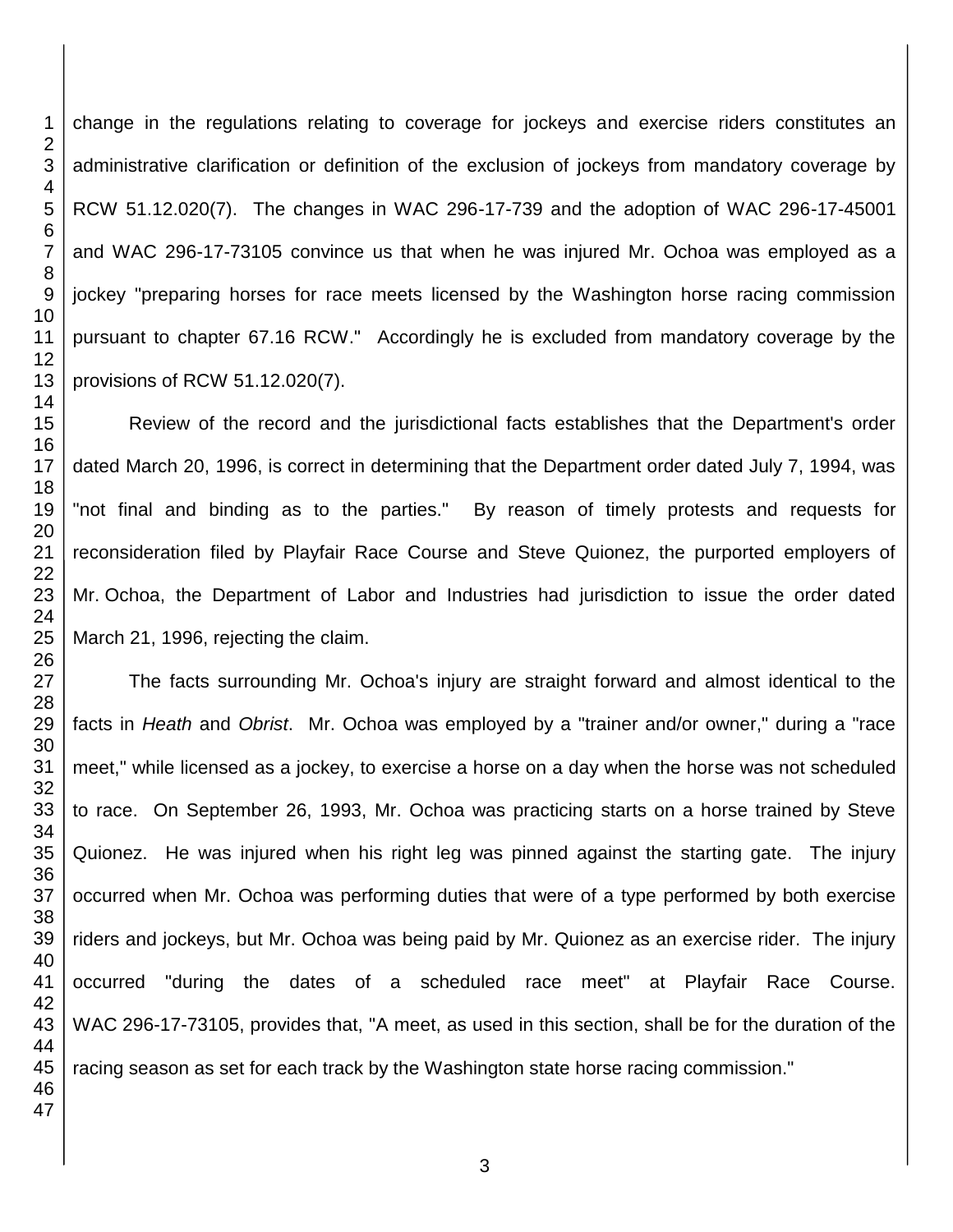change in the regulations relating to coverage for jockeys and exercise riders constitutes an administrative clarification or definition of the exclusion of jockeys from mandatory coverage by RCW 51.12.020(7). The changes in WAC 296-17-739 and the adoption of WAC 296-17-45001 and WAC 296-17-73105 convince us that when he was injured Mr. Ochoa was employed as a jockey "preparing horses for race meets licensed by the Washington horse racing commission pursuant to chapter 67.16 RCW." Accordingly he is excluded from mandatory coverage by the provisions of RCW 51.12.020(7).

Review of the record and the jurisdictional facts establishes that the Department's order dated March 20, 1996, is correct in determining that the Department order dated July 7, 1994, was "not final and binding as to the parties." By reason of timely protests and requests for reconsideration filed by Playfair Race Course and Steve Quionez, the purported employers of Mr. Ochoa, the Department of Labor and Industries had jurisdiction to issue the order dated March 21, 1996, rejecting the claim.

The facts surrounding Mr. Ochoa's injury are straight forward and almost identical to the facts in *Heath* and *Obrist*. Mr. Ochoa was employed by a "trainer and/or owner," during a "race meet," while licensed as a jockey, to exercise a horse on a day when the horse was not scheduled to race. On September 26, 1993, Mr. Ochoa was practicing starts on a horse trained by Steve Quionez. He was injured when his right leg was pinned against the starting gate. The injury occurred when Mr. Ochoa was performing duties that were of a type performed by both exercise riders and jockeys, but Mr. Ochoa was being paid by Mr. Quionez as an exercise rider. The injury occurred "during the dates of a scheduled race meet" at Playfair Race Course. WAC 296-17-73105, provides that, "A meet, as used in this section, shall be for the duration of the racing season as set for each track by the Washington state horse racing commission."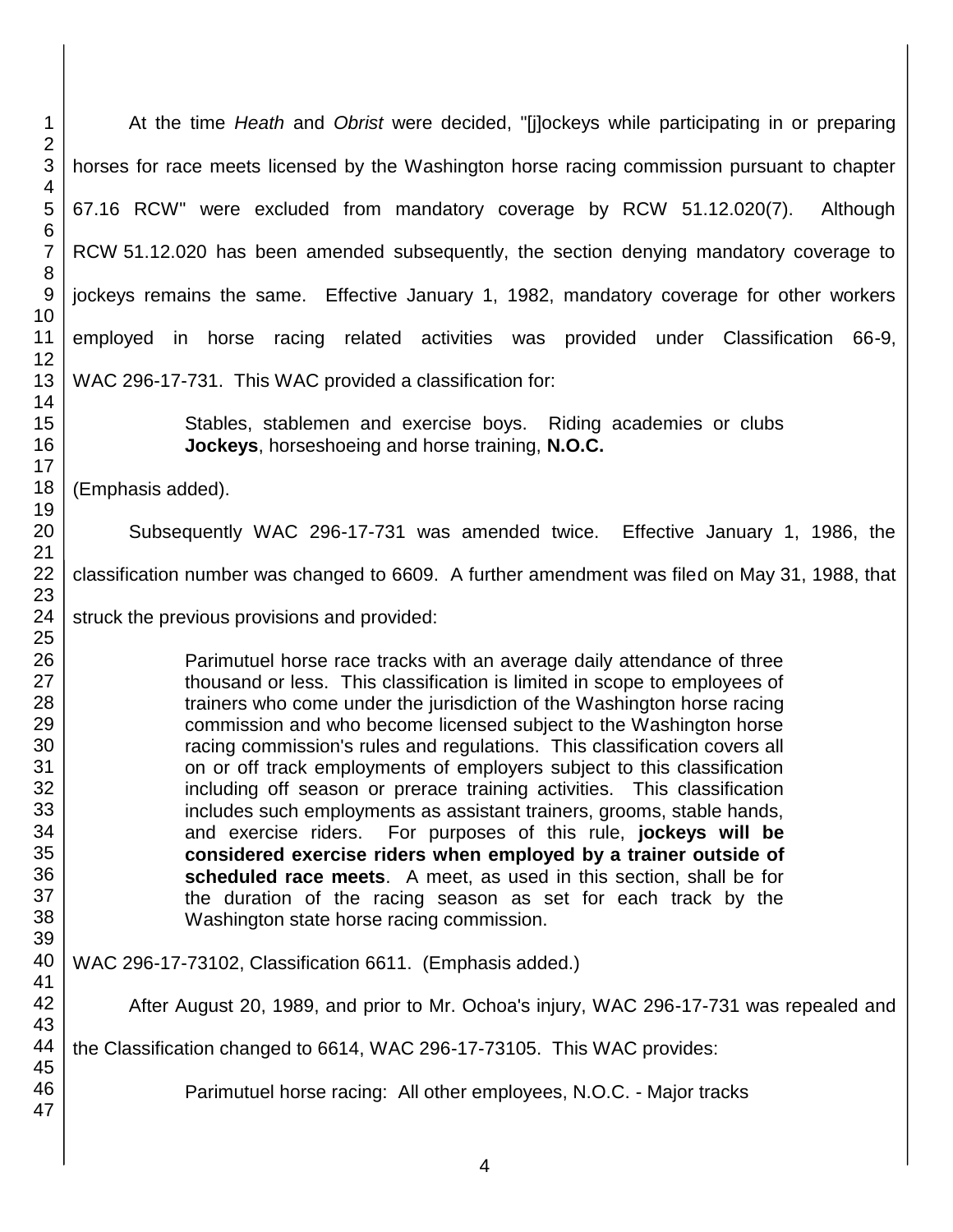At the time *Heath* and *Obrist* were decided, "[j]ockeys while participating in or preparing horses for race meets licensed by the Washington horse racing commission pursuant to chapter 67.16 RCW" were excluded from mandatory coverage by RCW 51.12.020(7). Although RCW 51.12.020 has been amended subsequently, the section denying mandatory coverage to jockeys remains the same. Effective January 1, 1982, mandatory coverage for other workers employed in horse racing related activities was provided under Classification 66-9, WAC 296-17-731. This WAC provided a classification for: Stables, stablemen and exercise boys. Riding academies or clubs **Jockeys**, horseshoeing and horse training, **N.O.C.**  (Emphasis added). Subsequently WAC 296-17-731 was amended twice. Effective January 1, 1986, the classification number was changed to 6609. A further amendment was filed on May 31, 1988, that struck the previous provisions and provided: Parimutuel horse race tracks with an average daily attendance of three thousand or less. This classification is limited in scope to employees of trainers who come under the jurisdiction of the Washington horse racing commission and who become licensed subject to the Washington horse racing commission's rules and regulations. This classification covers all on or off track employments of employers subject to this classification including off season or prerace training activities. This classification includes such employments as assistant trainers, grooms, stable hands, and exercise riders. For purposes of this rule, **jockeys will be considered exercise riders when employed by a trainer outside of scheduled race meets**. A meet, as used in this section, shall be for the duration of the racing season as set for each track by the Washington state horse racing commission. WAC 296-17-73102, Classification 6611. (Emphasis added.) After August 20, 1989, and prior to Mr. Ochoa's injury, WAC 296-17-731 was repealed and the Classification changed to 6614, WAC 296-17-73105. This WAC provides: Parimutuel horse racing: All other employees, N.O.C. - Major tracks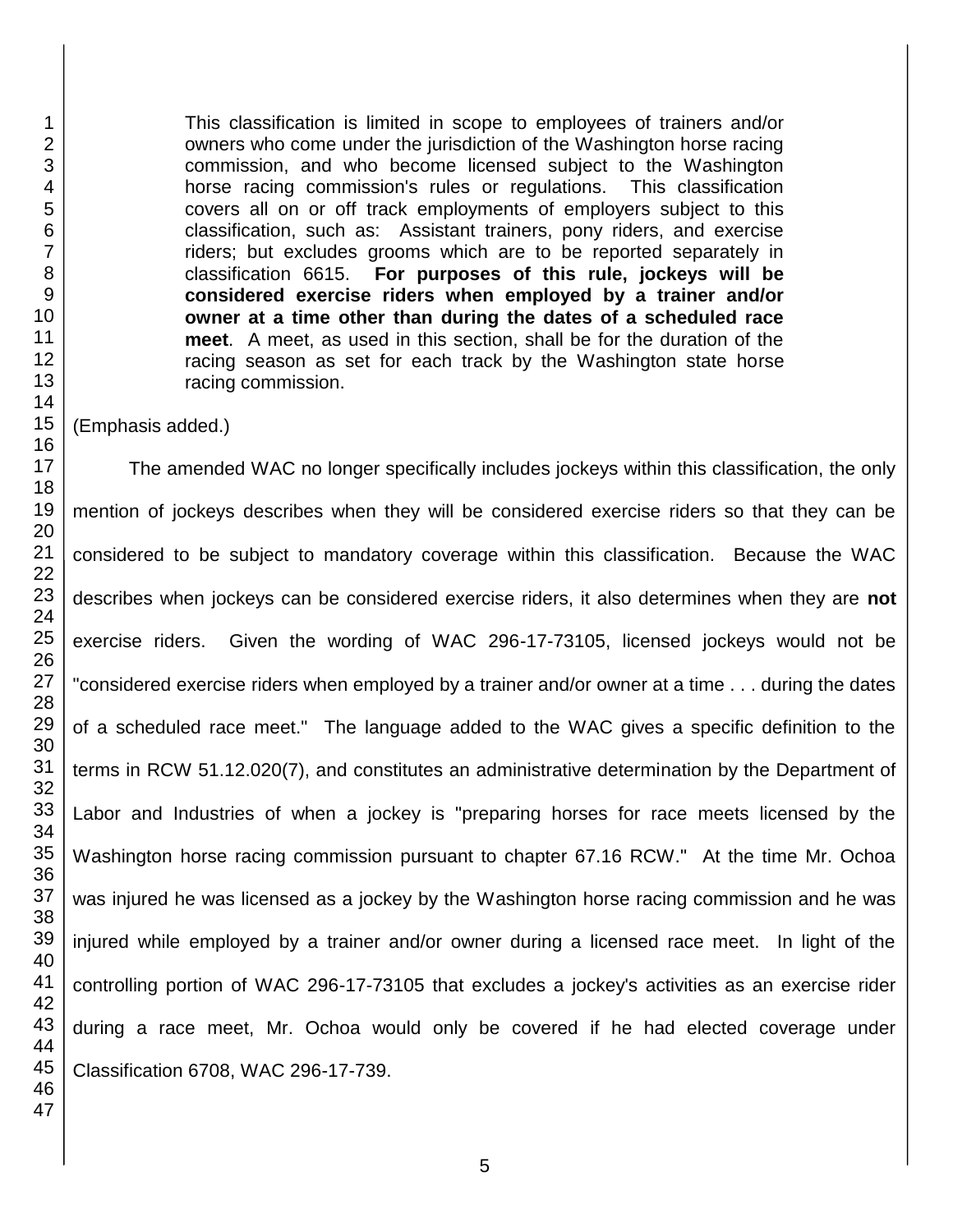This classification is limited in scope to employees of trainers and/or owners who come under the jurisdiction of the Washington horse racing commission, and who become licensed subject to the Washington horse racing commission's rules or regulations. This classification covers all on or off track employments of employers subject to this classification, such as: Assistant trainers, pony riders, and exercise riders; but excludes grooms which are to be reported separately in classification 6615. **For purposes of this rule, jockeys will be considered exercise riders when employed by a trainer and/or owner at a time other than during the dates of a scheduled race meet**. A meet, as used in this section, shall be for the duration of the racing season as set for each track by the Washington state horse racing commission.

(Emphasis added.)

The amended WAC no longer specifically includes jockeys within this classification, the only mention of jockeys describes when they will be considered exercise riders so that they can be considered to be subject to mandatory coverage within this classification. Because the WAC describes when jockeys can be considered exercise riders, it also determines when they are **not** exercise riders. Given the wording of WAC 296-17-73105, licensed jockeys would not be "considered exercise riders when employed by a trainer and/or owner at a time . . . during the dates of a scheduled race meet." The language added to the WAC gives a specific definition to the terms in RCW 51.12.020(7), and constitutes an administrative determination by the Department of Labor and Industries of when a jockey is "preparing horses for race meets licensed by the Washington horse racing commission pursuant to chapter 67.16 RCW." At the time Mr. Ochoa was injured he was licensed as a jockey by the Washington horse racing commission and he was injured while employed by a trainer and/or owner during a licensed race meet. In light of the controlling portion of WAC 296-17-73105 that excludes a jockey's activities as an exercise rider during a race meet, Mr. Ochoa would only be covered if he had elected coverage under Classification 6708, WAC 296-17-739.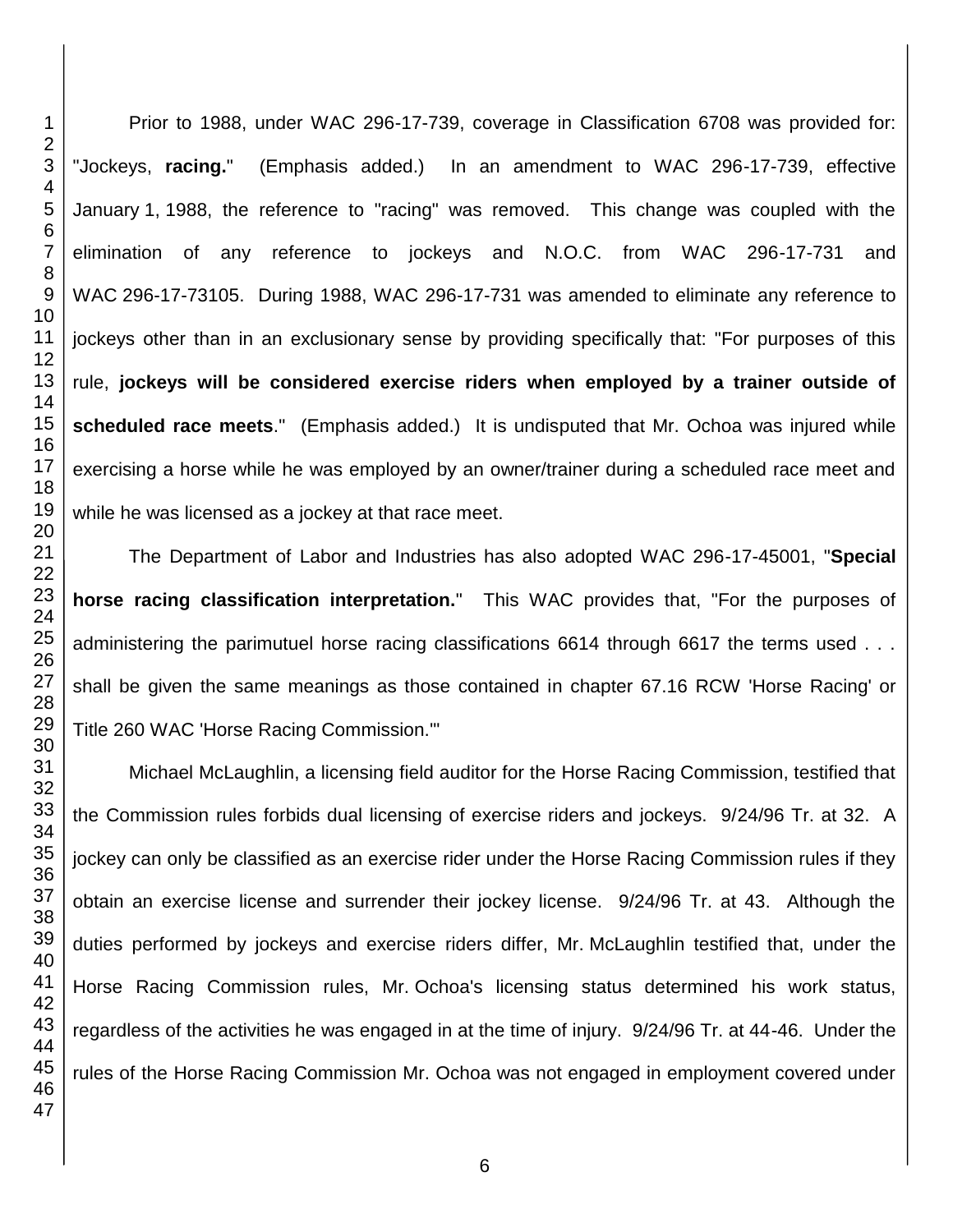Prior to 1988, under WAC 296-17-739, coverage in Classification 6708 was provided for: "Jockeys, **racing.**" (Emphasis added.) In an amendment to WAC 296-17-739, effective January 1, 1988, the reference to "racing" was removed. This change was coupled with the elimination of any reference to jockeys and N.O.C. from WAC 296-17-731 and WAC 296-17-73105. During 1988, WAC 296-17-731 was amended to eliminate any reference to jockeys other than in an exclusionary sense by providing specifically that: "For purposes of this rule, **jockeys will be considered exercise riders when employed by a trainer outside of scheduled race meets**." (Emphasis added.) It is undisputed that Mr. Ochoa was injured while exercising a horse while he was employed by an owner/trainer during a scheduled race meet and while he was licensed as a jockey at that race meet.

The Department of Labor and Industries has also adopted WAC 296-17-45001, "**Special horse racing classification interpretation.**" This WAC provides that, "For the purposes of administering the parimutuel horse racing classifications 6614 through 6617 the terms used . . . shall be given the same meanings as those contained in chapter 67.16 RCW 'Horse Racing' or Title 260 WAC 'Horse Racing Commission.'"

Michael McLaughlin, a licensing field auditor for the Horse Racing Commission, testified that the Commission rules forbids dual licensing of exercise riders and jockeys. 9/24/96 Tr. at 32. A jockey can only be classified as an exercise rider under the Horse Racing Commission rules if they obtain an exercise license and surrender their jockey license. 9/24/96 Tr. at 43. Although the duties performed by jockeys and exercise riders differ, Mr. McLaughlin testified that, under the Horse Racing Commission rules, Mr. Ochoa's licensing status determined his work status, regardless of the activities he was engaged in at the time of injury. 9/24/96 Tr. at 44-46. Under the rules of the Horse Racing Commission Mr. Ochoa was not engaged in employment covered under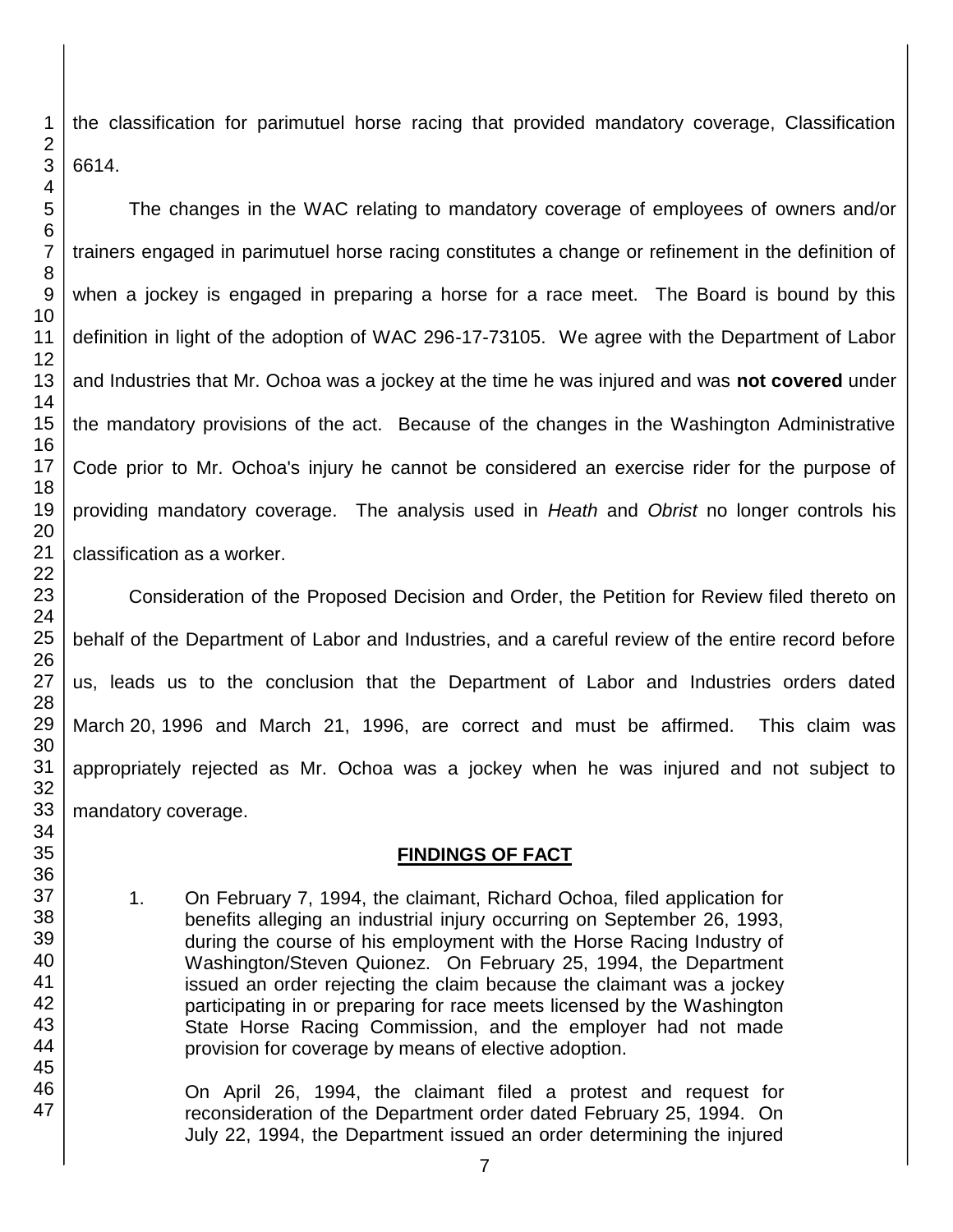the classification for parimutuel horse racing that provided mandatory coverage, Classification 6614.

The changes in the WAC relating to mandatory coverage of employees of owners and/or trainers engaged in parimutuel horse racing constitutes a change or refinement in the definition of when a jockey is engaged in preparing a horse for a race meet. The Board is bound by this definition in light of the adoption of WAC 296-17-73105. We agree with the Department of Labor and Industries that Mr. Ochoa was a jockey at the time he was injured and was **not covered** under the mandatory provisions of the act. Because of the changes in the Washington Administrative Code prior to Mr. Ochoa's injury he cannot be considered an exercise rider for the purpose of providing mandatory coverage. The analysis used in *Heath* and *Obrist* no longer controls his classification as a worker.

Consideration of the Proposed Decision and Order, the Petition for Review filed thereto on behalf of the Department of Labor and Industries, and a careful review of the entire record before us, leads us to the conclusion that the Department of Labor and Industries orders dated March 20, 1996 and March 21, 1996, are correct and must be affirmed. This claim was appropriately rejected as Mr. Ochoa was a jockey when he was injured and not subject to mandatory coverage.

# **FINDINGS OF FACT**

1. On February 7, 1994, the claimant, Richard Ochoa, filed application for benefits alleging an industrial injury occurring on September 26, 1993, during the course of his employment with the Horse Racing Industry of Washington/Steven Quionez. On February 25, 1994, the Department issued an order rejecting the claim because the claimant was a jockey participating in or preparing for race meets licensed by the Washington State Horse Racing Commission, and the employer had not made provision for coverage by means of elective adoption.

On April 26, 1994, the claimant filed a protest and request for reconsideration of the Department order dated February 25, 1994. On July 22, 1994, the Department issued an order determining the injured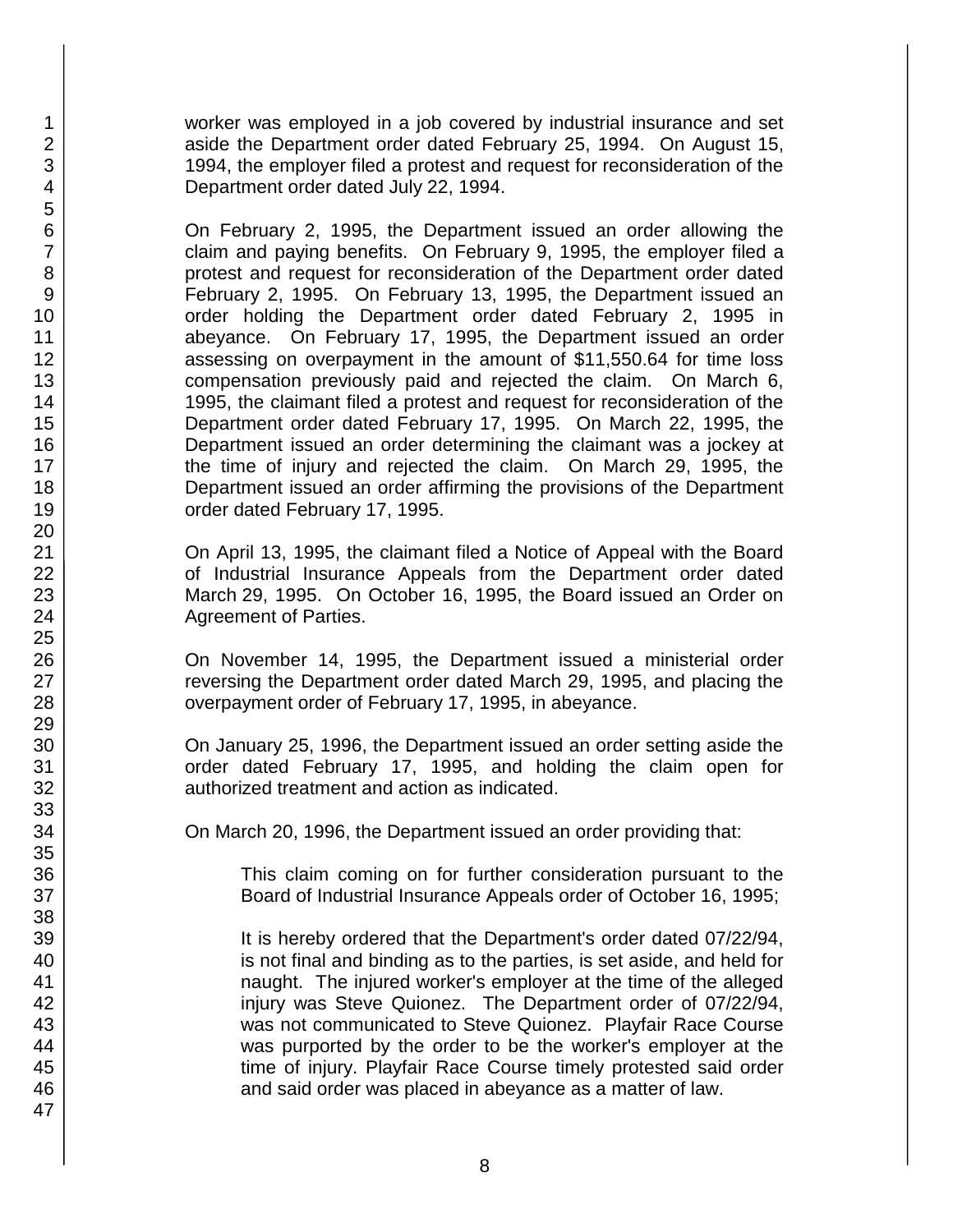worker was employed in a job covered by industrial insurance and set aside the Department order dated February 25, 1994. On August 15, 1994, the employer filed a protest and request for reconsideration of the Department order dated July 22, 1994.

On February 2, 1995, the Department issued an order allowing the claim and paying benefits. On February 9, 1995, the employer filed a protest and request for reconsideration of the Department order dated February 2, 1995. On February 13, 1995, the Department issued an order holding the Department order dated February 2, 1995 in abeyance. On February 17, 1995, the Department issued an order assessing on overpayment in the amount of \$11,550.64 for time loss compensation previously paid and rejected the claim. On March 6, 1995, the claimant filed a protest and request for reconsideration of the Department order dated February 17, 1995. On March 22, 1995, the Department issued an order determining the claimant was a jockey at the time of injury and rejected the claim. On March 29, 1995, the Department issued an order affirming the provisions of the Department order dated February 17, 1995.

On April 13, 1995, the claimant filed a Notice of Appeal with the Board of Industrial Insurance Appeals from the Department order dated March 29, 1995. On October 16, 1995, the Board issued an Order on Agreement of Parties.

On November 14, 1995, the Department issued a ministerial order reversing the Department order dated March 29, 1995, and placing the overpayment order of February 17, 1995, in abeyance.

On January 25, 1996, the Department issued an order setting aside the order dated February 17, 1995, and holding the claim open for authorized treatment and action as indicated.

On March 20, 1996, the Department issued an order providing that:

This claim coming on for further consideration pursuant to the Board of Industrial Insurance Appeals order of October 16, 1995;

It is hereby ordered that the Department's order dated 07/22/94, is not final and binding as to the parties, is set aside, and held for naught. The injured worker's employer at the time of the alleged injury was Steve Quionez. The Department order of 07/22/94, was not communicated to Steve Quionez. Playfair Race Course was purported by the order to be the worker's employer at the time of injury. Playfair Race Course timely protested said order and said order was placed in abeyance as a matter of law.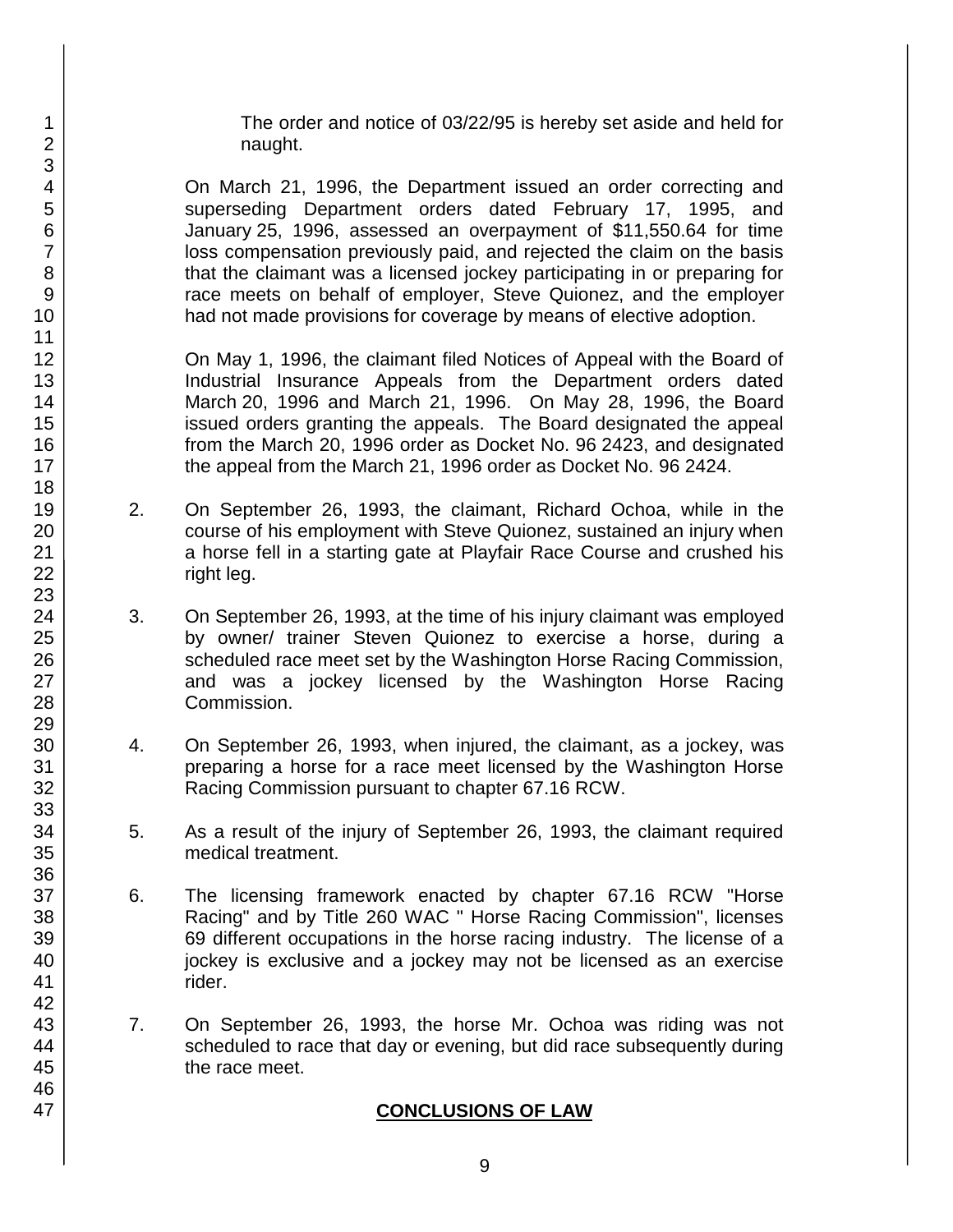The order and notice of 03/22/95 is hereby set aside and held for naught.

On March 21, 1996, the Department issued an order correcting and superseding Department orders dated February 17, 1995, and January 25, 1996, assessed an overpayment of \$11,550.64 for time loss compensation previously paid, and rejected the claim on the basis that the claimant was a licensed jockey participating in or preparing for race meets on behalf of employer, Steve Quionez, and the employer had not made provisions for coverage by means of elective adoption.

On May 1, 1996, the claimant filed Notices of Appeal with the Board of Industrial Insurance Appeals from the Department orders dated March 20, 1996 and March 21, 1996. On May 28, 1996, the Board issued orders granting the appeals. The Board designated the appeal from the March 20, 1996 order as Docket No. 96 2423, and designated the appeal from the March 21, 1996 order as Docket No. 96 2424.

- 2. On September 26, 1993, the claimant, Richard Ochoa, while in the course of his employment with Steve Quionez, sustained an injury when a horse fell in a starting gate at Playfair Race Course and crushed his right leg.
- 3. On September 26, 1993, at the time of his injury claimant was employed by owner/ trainer Steven Quionez to exercise a horse, during a scheduled race meet set by the Washington Horse Racing Commission, and was a jockey licensed by the Washington Horse Racing Commission.
- 4. On September 26, 1993, when injured, the claimant, as a jockey, was preparing a horse for a race meet licensed by the Washington Horse Racing Commission pursuant to chapter 67.16 RCW.
- 5. As a result of the injury of September 26, 1993, the claimant required medical treatment.
- 6. The licensing framework enacted by chapter 67.16 RCW "Horse Racing" and by Title 260 WAC " Horse Racing Commission", licenses 69 different occupations in the horse racing industry. The license of a jockey is exclusive and a jockey may not be licensed as an exercise rider.
- 7. On September 26, 1993, the horse Mr. Ochoa was riding was not scheduled to race that day or evening, but did race subsequently during the race meet.

## **CONCLUSIONS OF LAW**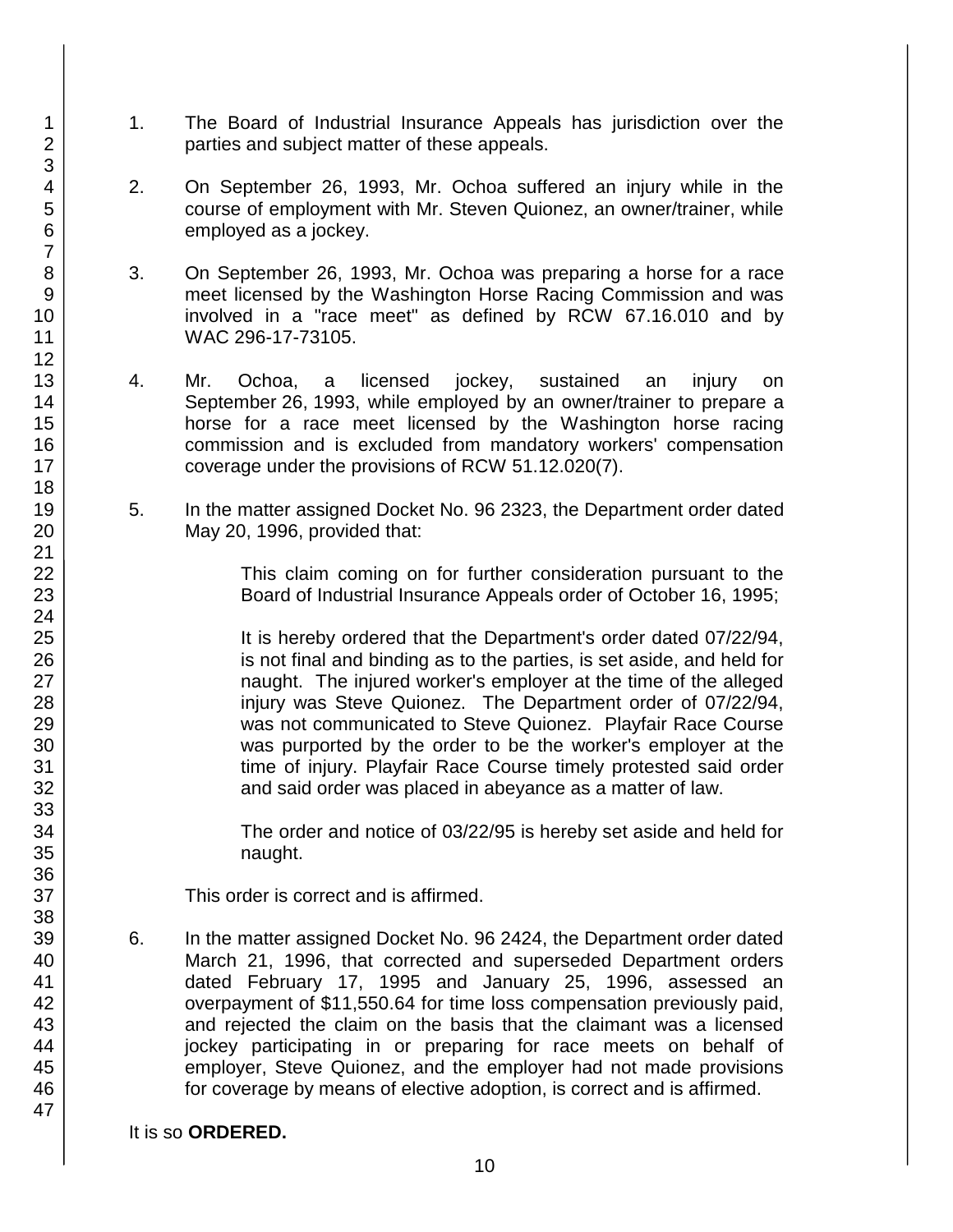- 1. The Board of Industrial Insurance Appeals has jurisdiction over the parties and subject matter of these appeals.
- 2. On September 26, 1993, Mr. Ochoa suffered an injury while in the course of employment with Mr. Steven Quionez, an owner/trainer, while employed as a jockey.
- 3. On September 26, 1993, Mr. Ochoa was preparing a horse for a race meet licensed by the Washington Horse Racing Commission and was involved in a "race meet" as defined by RCW 67.16.010 and by WAC 296-17-73105.
- 4. Mr. Ochoa, a licensed jockey, sustained an injury on September 26, 1993, while employed by an owner/trainer to prepare a horse for a race meet licensed by the Washington horse racing commission and is excluded from mandatory workers' compensation coverage under the provisions of RCW 51.12.020(7).
- 5. In the matter assigned Docket No. 96 2323, the Department order dated May 20, 1996, provided that:

This claim coming on for further consideration pursuant to the Board of Industrial Insurance Appeals order of October 16, 1995;

It is hereby ordered that the Department's order dated 07/22/94, is not final and binding as to the parties, is set aside, and held for naught. The injured worker's employer at the time of the alleged injury was Steve Quionez. The Department order of 07/22/94, was not communicated to Steve Quionez. Playfair Race Course was purported by the order to be the worker's employer at the time of injury. Playfair Race Course timely protested said order and said order was placed in abeyance as a matter of law.

The order and notice of 03/22/95 is hereby set aside and held for naught.

This order is correct and is affirmed.

6. In the matter assigned Docket No. 96 2424, the Department order dated March 21, 1996, that corrected and superseded Department orders dated February 17, 1995 and January 25, 1996, assessed an overpayment of \$11,550.64 for time loss compensation previously paid, and rejected the claim on the basis that the claimant was a licensed jockey participating in or preparing for race meets on behalf of employer, Steve Quionez, and the employer had not made provisions for coverage by means of elective adoption, is correct and is affirmed.

### It is so **ORDERED.**

1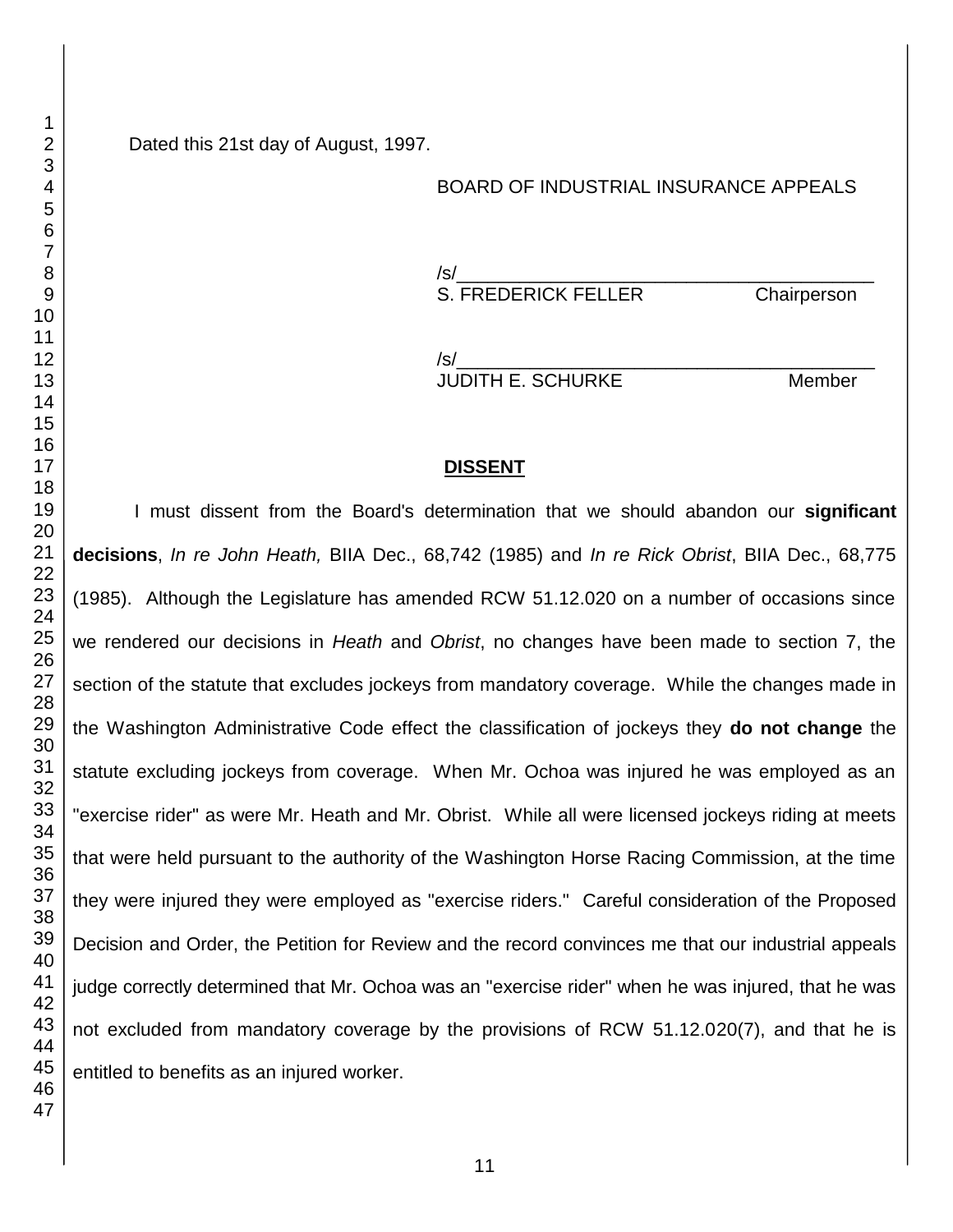Dated this 21st day of August, 1997.

#### BOARD OF INDUSTRIAL INSURANCE APPEALS

/s/\_\_\_\_\_\_\_\_\_\_\_\_\_\_\_\_\_\_\_\_\_\_\_\_\_\_\_\_\_\_\_\_\_\_\_\_\_\_\_\_ S. FREDERICK FELLER Chairperson

/s/\_\_\_\_\_\_\_\_\_\_\_\_\_\_\_\_\_\_\_\_\_\_\_\_\_\_\_\_\_\_\_\_\_\_\_\_\_\_\_\_ JUDITH E. SCHURKE Member

### **DISSENT**

I must dissent from the Board's determination that we should abandon our **significant decisions**, *In re John Heath,* BIIA Dec., 68,742 (1985) and *In re Rick Obrist*, BIIA Dec., 68,775 (1985). Although the Legislature has amended RCW 51.12.020 on a number of occasions since we rendered our decisions in *Heath* and *Obrist*, no changes have been made to section 7, the section of the statute that excludes jockeys from mandatory coverage. While the changes made in the Washington Administrative Code effect the classification of jockeys they **do not change** the statute excluding jockeys from coverage. When Mr. Ochoa was injured he was employed as an "exercise rider" as were Mr. Heath and Mr. Obrist. While all were licensed jockeys riding at meets that were held pursuant to the authority of the Washington Horse Racing Commission, at the time they were injured they were employed as "exercise riders." Careful consideration of the Proposed Decision and Order, the Petition for Review and the record convinces me that our industrial appeals judge correctly determined that Mr. Ochoa was an "exercise rider" when he was injured, that he was not excluded from mandatory coverage by the provisions of RCW 51.12.020(7), and that he is entitled to benefits as an injured worker.